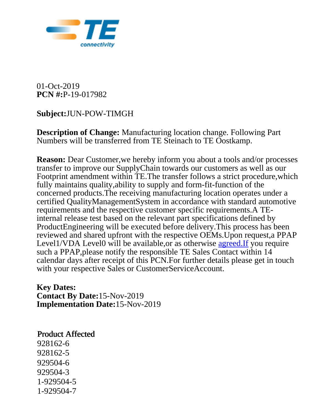

01-Oct-2019 **PCN #:**P-19-017982

## **Subject:**JUN-POW-TIMGH

**Description of Change:** Manufacturing location change. Following Part Numbers will be transferred from TE Steinach to TE Oostkamp.

**Reason:** Dear Customer, we hereby inform you about a tools and/or processes transfer to improve our SupplyChain towards our customers as well as our Footprint amendment within TE.The transfer follows a strict procedure,which fully maintains quality,ability to supply and form-fit-function of the concerned products.The receiving manufacturing location operates under a certified QualityManagementSystem in accordance with standard automotive requirements and the respective customer specific requirements.A TEinternal release test based on the relevant part specifications defined by ProductEngineering will be executed before delivery.This process has been reviewed and shared upfront with the respective OEMs.Upon request,a PPAP Level1/VDA Level0 will be available, or as otherwise agreed. If you require such a PPAP,please notify the responsible TE Sales Contact within 14 calendar days after receipt of this PCN.For further details please get in touch with your respective Sales or CustomerServiceAccount.

**Key Dates: Contact By Date:**15-Nov-2019 **Implementation Date:**15-Nov-2019

## Product Affected

928162-6 928162-5 929504-6 929504-3 1-929504-5 1-929504-7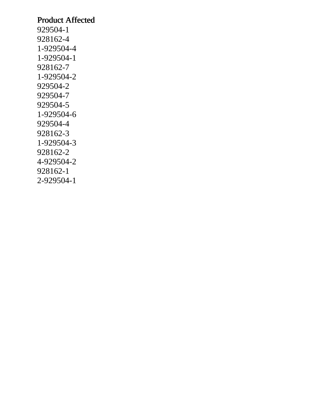## Product Affected

929504-1 928162-4 1-929504-4 1-929504-1 928162-7 1-929504-2 929504-2 929504-7 929504-5 1-929504-6 929504-4 928162-3 1-929504-3 928162-2 4-929504-2 928162-1 2-929504-1